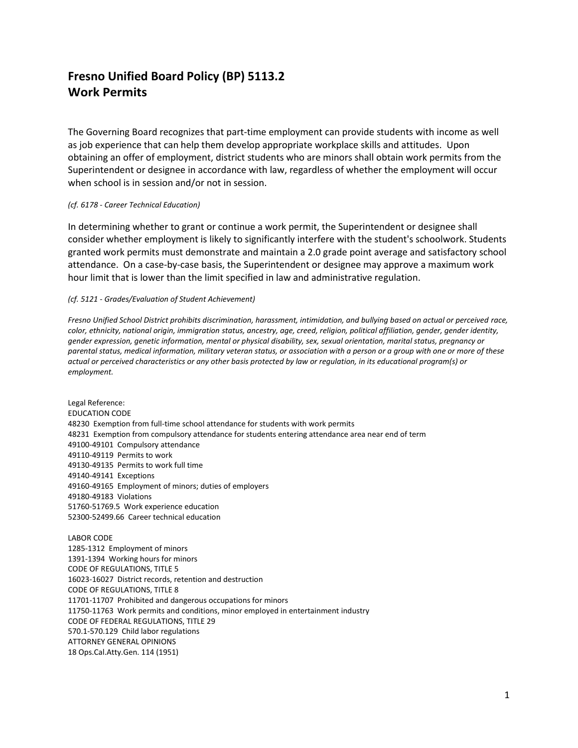## **Fresno Unified Board Policy (BP) 5113.2 Work Permits**

The Governing Board recognizes that part-time employment can provide students with income as well as job experience that can help them develop appropriate workplace skills and attitudes. Upon obtaining an offer of employment, district students who are minors shall obtain work permits from the Superintendent or designee in accordance with law, regardless of whether the employment will occur when school is in session and/or not in session.

## *(cf. 6178 - Career Technical Education)*

In determining whether to grant or continue a work permit, the Superintendent or designee shall consider whether employment is likely to significantly interfere with the student's schoolwork. Students granted work permits must demonstrate and maintain a 2.0 grade point average and satisfactory school attendance. On a case-by-case basis, the Superintendent or designee may approve a maximum work hour limit that is lower than the limit specified in law and administrative regulation.

## *(cf. 5121 - Grades/Evaluation of Student Achievement)*

*Fresno Unified School District prohibits discrimination, harassment, intimidation, and bullying based on actual or perceived race, color, ethnicity, national origin, immigration status, ancestry, age, creed, religion, political affiliation, gender, gender identity, gender expression, genetic information, mental or physical disability, sex, sexual orientation, marital status, pregnancy or parental status, medical information, military veteran status, or association with a person or a group with one or more of these actual or perceived characteristics or any other basis protected by law or regulation, in its educational program(s) or employment.*

Legal Reference: EDUCATION CODE 48230 Exemption from full-time school attendance for students with work permits 48231 Exemption from compulsory attendance for students entering attendance area near end of term 49100-49101 Compulsory attendance 49110-49119 Permits to work 49130-49135 Permits to work full time 49140-49141 Exceptions 49160-49165 Employment of minors; duties of employers 49180-49183 Violations 51760-51769.5 Work experience education 52300-52499.66 Career technical education

LABOR CODE 1285-1312 Employment of minors 1391-1394 Working hours for minors CODE OF REGULATIONS, TITLE 5 16023-16027 District records, retention and destruction CODE OF REGULATIONS, TITLE 8 11701-11707 Prohibited and dangerous occupations for minors 11750-11763 Work permits and conditions, minor employed in entertainment industry CODE OF FEDERAL REGULATIONS, TITLE 29 570.1-570.129 Child labor regulations ATTORNEY GENERAL OPINIONS 18 Ops.Cal.Atty.Gen. 114 (1951)